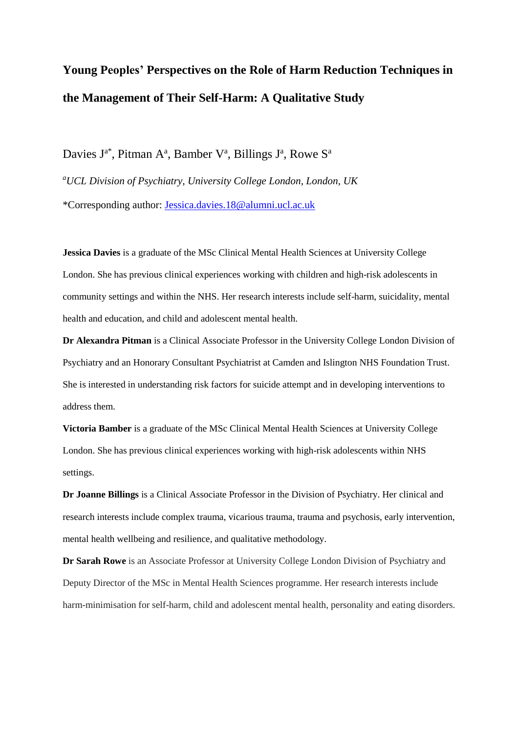# **Young Peoples' Perspectives on the Role of Harm Reduction Techniques in the Management of Their Self-Harm: A Qualitative Study**

Davies  $J^{a^*}$ , Pitman A<sup>a</sup>, Bamber V<sup>a</sup>, Billings  $J^a$ , Rowe S<sup>a</sup>

*<sup>a</sup>UCL Division of Psychiatry, University College London, London, UK* \*Corresponding author: [Jessica.davies.18@alumni.ucl.ac.uk](mailto:Jessica.davies.18@alumni.ucl.ac.uk)

**Jessica Davies** is a graduate of the MSc Clinical Mental Health Sciences at University College London. She has previous clinical experiences working with children and high-risk adolescents in community settings and within the NHS. Her research interests include self-harm, suicidality, mental health and education, and child and adolescent mental health.

**Dr Alexandra Pitman** is a Clinical Associate Professor in the University College London Division of Psychiatry and an Honorary Consultant Psychiatrist at Camden and Islington NHS Foundation Trust. She is interested in understanding risk factors for suicide attempt and in developing interventions to address them.

**Victoria Bamber** is a graduate of the MSc Clinical Mental Health Sciences at University College London. She has previous clinical experiences working with high-risk adolescents within NHS settings.

**Dr Joanne Billings** is a Clinical Associate Professor in the Division of Psychiatry. Her clinical and research interests include complex trauma, vicarious trauma, trauma and psychosis, early intervention, mental health wellbeing and resilience, and qualitative methodology.

**Dr Sarah Rowe** is an Associate Professor at University College London Division of Psychiatry and Deputy Director of the MSc in Mental Health Sciences programme. Her research interests include harm-minimisation for self-harm, child and adolescent mental health, personality and eating disorders.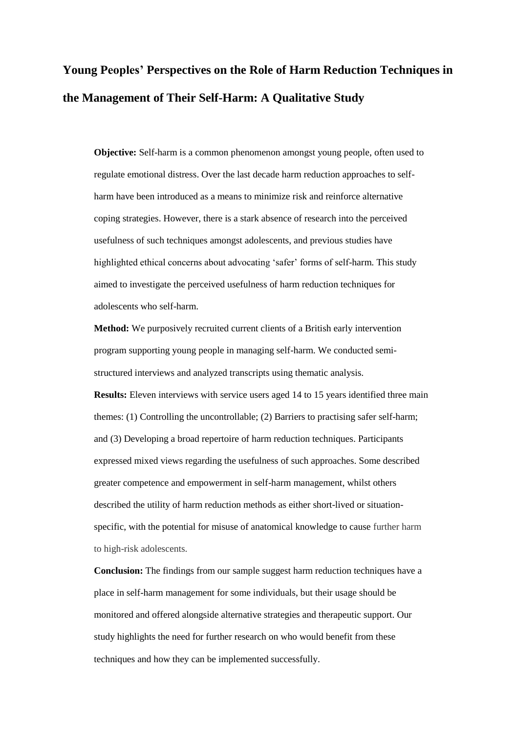# **Young Peoples' Perspectives on the Role of Harm Reduction Techniques in the Management of Their Self-Harm: A Qualitative Study**

**Objective:** Self-harm is a common phenomenon amongst young people, often used to regulate emotional distress. Over the last decade harm reduction approaches to selfharm have been introduced as a means to minimize risk and reinforce alternative coping strategies. However, there is a stark absence of research into the perceived usefulness of such techniques amongst adolescents, and previous studies have highlighted ethical concerns about advocating 'safer' forms of self-harm. This study aimed to investigate the perceived usefulness of harm reduction techniques for adolescents who self-harm.

**Method:** We purposively recruited current clients of a British early intervention program supporting young people in managing self-harm. We conducted semistructured interviews and analyzed transcripts using thematic analysis.

**Results:** Eleven interviews with service users aged 14 to 15 years identified three main themes: (1) Controlling the uncontrollable; (2) Barriers to practising safer self-harm; and (3) Developing a broad repertoire of harm reduction techniques. Participants expressed mixed views regarding the usefulness of such approaches. Some described greater competence and empowerment in self-harm management, whilst others described the utility of harm reduction methods as either short-lived or situationspecific, with the potential for misuse of anatomical knowledge to cause further harm to high-risk adolescents.

**Conclusion:** The findings from our sample suggest harm reduction techniques have a place in self-harm management for some individuals, but their usage should be monitored and offered alongside alternative strategies and therapeutic support. Our study highlights the need for further research on who would benefit from these techniques and how they can be implemented successfully.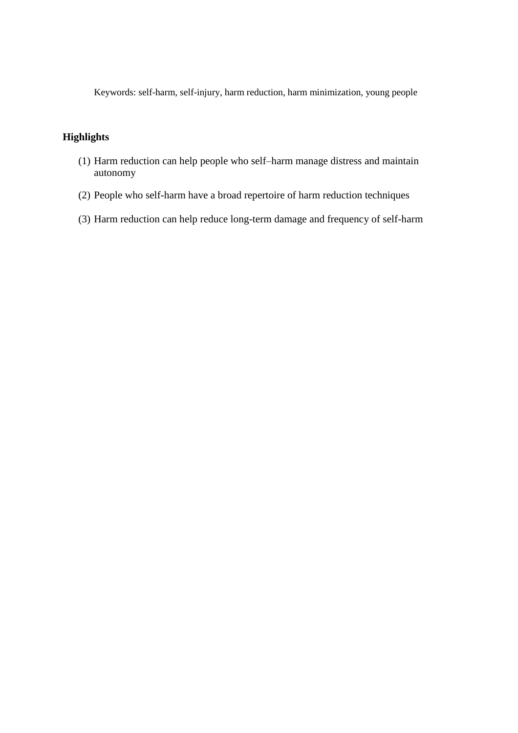Keywords: self-harm, self-injury, harm reduction, harm minimization, young people

# **Highlights**

- (1) Harm reduction can help people who self–harm manage distress and maintain autonomy
- (2) People who self-harm have a broad repertoire of harm reduction techniques
- (3) Harm reduction can help reduce long-term damage and frequency of self-harm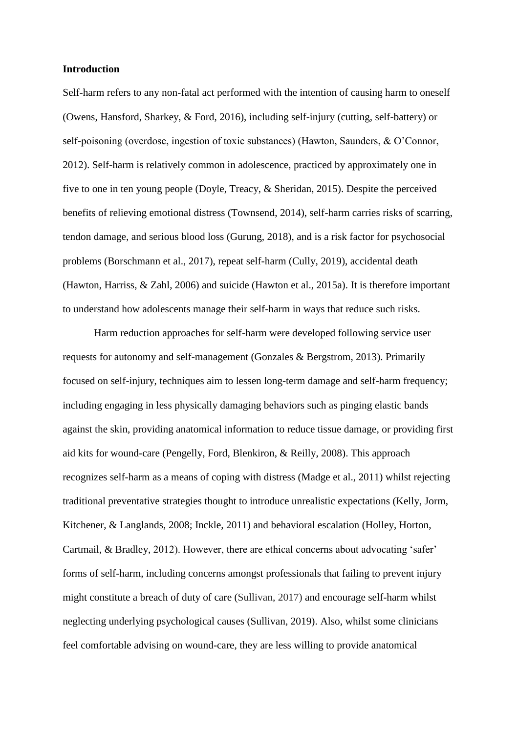#### **Introduction**

Self-harm refers to any non-fatal act performed with the intention of causing harm to oneself (Owens, Hansford, Sharkey, & Ford, 2016), including self-injury (cutting, self-battery) or self-poisoning (overdose, ingestion of toxic substances) (Hawton, Saunders, & O'Connor, 2012). Self-harm is relatively common in adolescence, practiced by approximately one in five to one in ten young people (Doyle, Treacy, & Sheridan, 2015). Despite the perceived benefits of relieving emotional distress (Townsend, 2014), self-harm carries risks of scarring, tendon damage, and serious blood loss (Gurung, 2018), and is a risk factor for psychosocial problems (Borschmann et al., 2017), repeat self-harm (Cully, 2019), accidental death (Hawton, Harriss, & Zahl, 2006) and suicide (Hawton et al., 2015a). It is therefore important to understand how adolescents manage their self-harm in ways that reduce such risks.

Harm reduction approaches for self-harm were developed following service user requests for autonomy and self-management (Gonzales & Bergstrom, 2013). Primarily focused on self-injury, techniques aim to lessen long-term damage and self-harm frequency; including engaging in less physically damaging behaviors such as pinging elastic bands against the skin, providing anatomical information to reduce tissue damage, or providing first aid kits for wound-care (Pengelly, Ford, Blenkiron, & Reilly, 2008). This approach recognizes self-harm as a means of coping with distress (Madge et al., 2011) whilst rejecting traditional preventative strategies thought to introduce unrealistic expectations (Kelly, Jorm, Kitchener, & Langlands, 2008; Inckle, 2011) and behavioral escalation (Holley, Horton, Cartmail, & Bradley, 2012). However, there are ethical concerns about advocating 'safer' forms of self-harm, including concerns amongst professionals that failing to prevent injury might constitute a breach of duty of care (Sullivan, 2017) and encourage self-harm whilst neglecting underlying psychological causes (Sullivan, 2019). Also, whilst some clinicians feel comfortable advising on wound-care, they are less willing to provide anatomical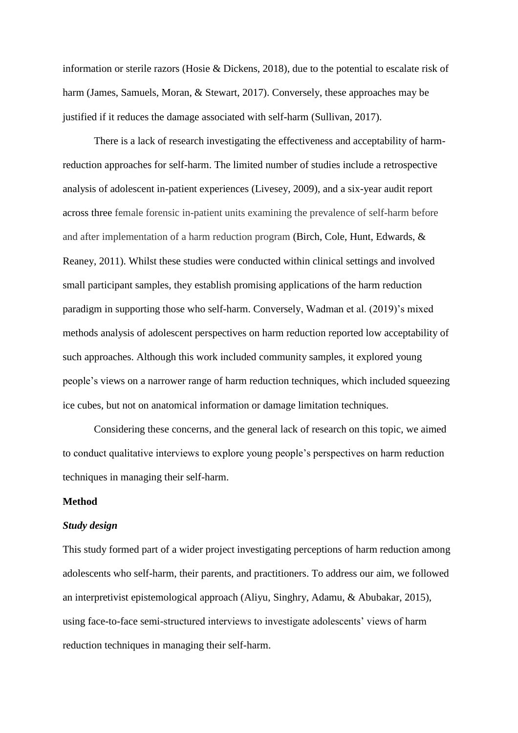information or sterile razors (Hosie & Dickens, 2018), due to the potential to escalate risk of harm (James, Samuels, Moran, & Stewart, 2017). Conversely, these approaches may be justified if it reduces the damage associated with self-harm (Sullivan, 2017).

There is a lack of research investigating the effectiveness and acceptability of harmreduction approaches for self-harm. The limited number of studies include a retrospective analysis of adolescent in-patient experiences (Livesey, 2009), and a six-year audit report across three female forensic in-patient units examining the prevalence of self-harm before and after implementation of a harm reduction program (Birch, Cole, Hunt, Edwards, & Reaney, 2011). Whilst these studies were conducted within clinical settings and involved small participant samples, they establish promising applications of the harm reduction paradigm in supporting those who self-harm. Conversely, Wadman et al. (2019)'s mixed methods analysis of adolescent perspectives on harm reduction reported low acceptability of such approaches. Although this work included community samples, it explored young people's views on a narrower range of harm reduction techniques, which included squeezing ice cubes, but not on anatomical information or damage limitation techniques.

Considering these concerns, and the general lack of research on this topic, we aimed to conduct qualitative interviews to explore young people's perspectives on harm reduction techniques in managing their self-harm.

## **Method**

#### *Study design*

This study formed part of a wider project investigating perceptions of harm reduction among adolescents who self-harm, their parents, and practitioners. To address our aim, we followed an interpretivist epistemological approach (Aliyu, Singhry, Adamu, & Abubakar, 2015), using face-to-face semi-structured interviews to investigate adolescents' views of harm reduction techniques in managing their self-harm.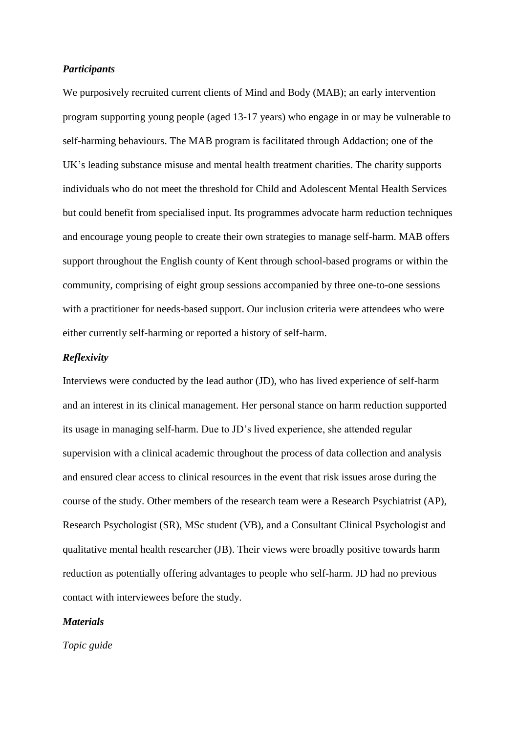#### *Participants*

We purposively recruited current clients of Mind and Body (MAB); an early intervention program supporting young people (aged 13-17 years) who engage in or may be vulnerable to self-harming behaviours. The MAB program is facilitated through Addaction; one of the UK's leading substance misuse and mental health treatment charities. The charity supports individuals who do not meet the threshold for Child and Adolescent Mental Health Services but could benefit from specialised input. Its programmes advocate harm reduction techniques and encourage young people to create their own strategies to manage self-harm. MAB offers support throughout the English county of Kent through school-based programs or within the community, comprising of eight group sessions accompanied by three one-to-one sessions with a practitioner for needs-based support. Our inclusion criteria were attendees who were either currently self-harming or reported a history of self-harm.

### *Reflexivity*

Interviews were conducted by the lead author (JD), who has lived experience of self-harm and an interest in its clinical management. Her personal stance on harm reduction supported its usage in managing self-harm. Due to JD's lived experience, she attended regular supervision with a clinical academic throughout the process of data collection and analysis and ensured clear access to clinical resources in the event that risk issues arose during the course of the study. Other members of the research team were a Research Psychiatrist (AP), Research Psychologist (SR), MSc student (VB), and a Consultant Clinical Psychologist and qualitative mental health researcher (JB). Their views were broadly positive towards harm reduction as potentially offering advantages to people who self-harm. JD had no previous contact with interviewees before the study.

#### *Materials*

*Topic guide*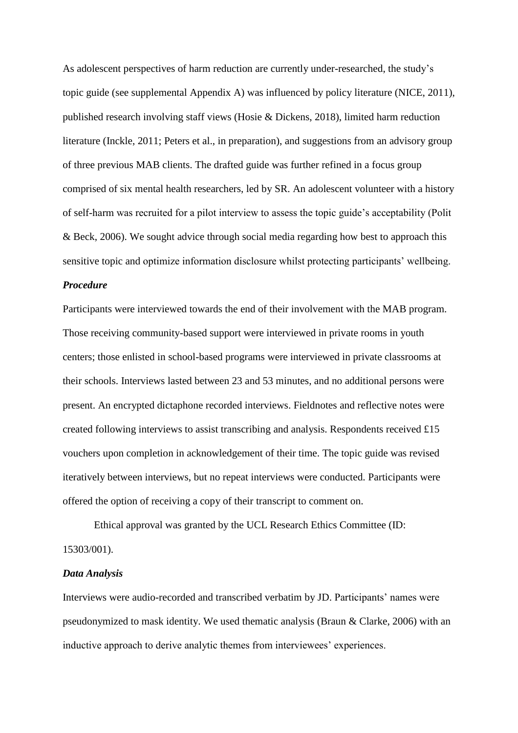As adolescent perspectives of harm reduction are currently under-researched, the study's topic guide (see supplemental Appendix A) was influenced by policy literature (NICE, 2011), published research involving staff views (Hosie & Dickens, 2018), limited harm reduction literature (Inckle, 2011; Peters et al., in preparation), and suggestions from an advisory group of three previous MAB clients. The drafted guide was further refined in a focus group comprised of six mental health researchers, led by SR. An adolescent volunteer with a history of self-harm was recruited for a pilot interview to assess the topic guide's acceptability (Polit & Beck, 2006). We sought advice through social media regarding how best to approach this sensitive topic and optimize information disclosure whilst protecting participants' wellbeing.

## *Procedure*

Participants were interviewed towards the end of their involvement with the MAB program. Those receiving community-based support were interviewed in private rooms in youth centers; those enlisted in school-based programs were interviewed in private classrooms at their schools. Interviews lasted between 23 and 53 minutes, and no additional persons were present. An encrypted dictaphone recorded interviews. Fieldnotes and reflective notes were created following interviews to assist transcribing and analysis. Respondents received £15 vouchers upon completion in acknowledgement of their time. The topic guide was revised iteratively between interviews, but no repeat interviews were conducted. Participants were offered the option of receiving a copy of their transcript to comment on.

Ethical approval was granted by the UCL Research Ethics Committee (ID: 15303/001).

#### *Data Analysis*

Interviews were audio-recorded and transcribed verbatim by JD. Participants' names were pseudonymized to mask identity. We used thematic analysis (Braun & Clarke, 2006) with an inductive approach to derive analytic themes from interviewees' experiences.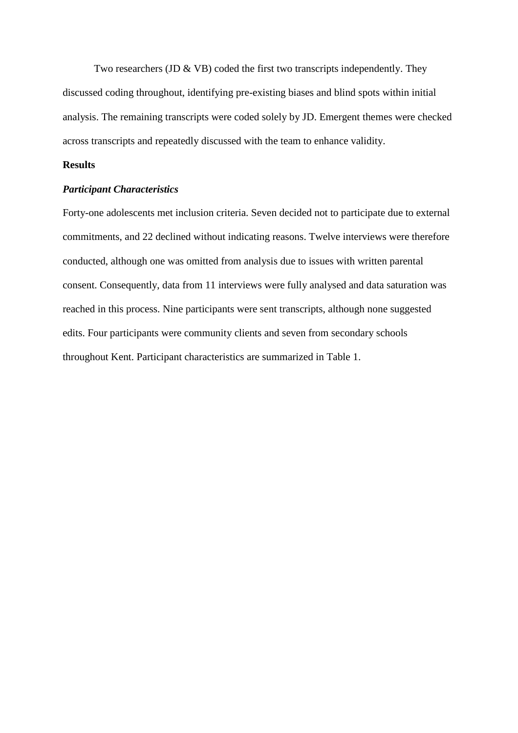Two researchers (JD & VB) coded the first two transcripts independently. They discussed coding throughout, identifying pre-existing biases and blind spots within initial analysis. The remaining transcripts were coded solely by JD. Emergent themes were checked across transcripts and repeatedly discussed with the team to enhance validity.

### **Results**

## *Participant Characteristics*

Forty-one adolescents met inclusion criteria. Seven decided not to participate due to external commitments, and 22 declined without indicating reasons. Twelve interviews were therefore conducted, although one was omitted from analysis due to issues with written parental consent. Consequently, data from 11 interviews were fully analysed and data saturation was reached in this process. Nine participants were sent transcripts, although none suggested edits. Four participants were community clients and seven from secondary schools throughout Kent. Participant characteristics are summarized in Table 1.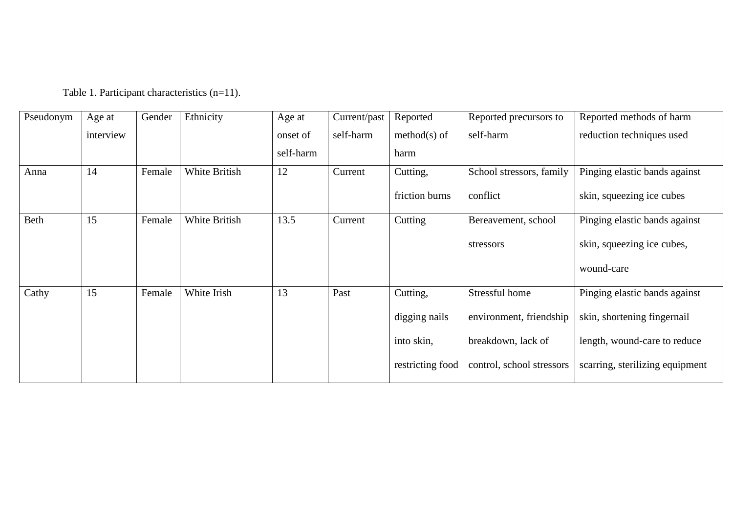| Pseudonym | Age at    | Gender | Ethnicity     | Age at    | Current/past | Reported         | Reported precursors to    | Reported methods of harm        |
|-----------|-----------|--------|---------------|-----------|--------------|------------------|---------------------------|---------------------------------|
|           | interview |        |               | onset of  | self-harm    | $method(s)$ of   | self-harm                 | reduction techniques used       |
|           |           |        |               | self-harm |              | harm             |                           |                                 |
| Anna      | 14        | Female | White British | 12        | Current      | Cutting,         | School stressors, family  | Pinging elastic bands against   |
|           |           |        |               |           |              | friction burns   | conflict                  | skin, squeezing ice cubes       |
| Beth      | 15        | Female | White British | 13.5      | Current      | Cutting          | Bereavement, school       | Pinging elastic bands against   |
|           |           |        |               |           |              |                  | stressors                 | skin, squeezing ice cubes,      |
|           |           |        |               |           |              |                  |                           | wound-care                      |
| Cathy     | 15        | Female | White Irish   | 13        | Past         | Cutting,         | Stressful home            | Pinging elastic bands against   |
|           |           |        |               |           |              | digging nails    | environment, friendship   | skin, shortening fingernail     |
|           |           |        |               |           |              | into skin,       | breakdown, lack of        | length, wound-care to reduce    |
|           |           |        |               |           |              | restricting food | control, school stressors | scarring, sterilizing equipment |

Table 1. Participant characteristics (n=11).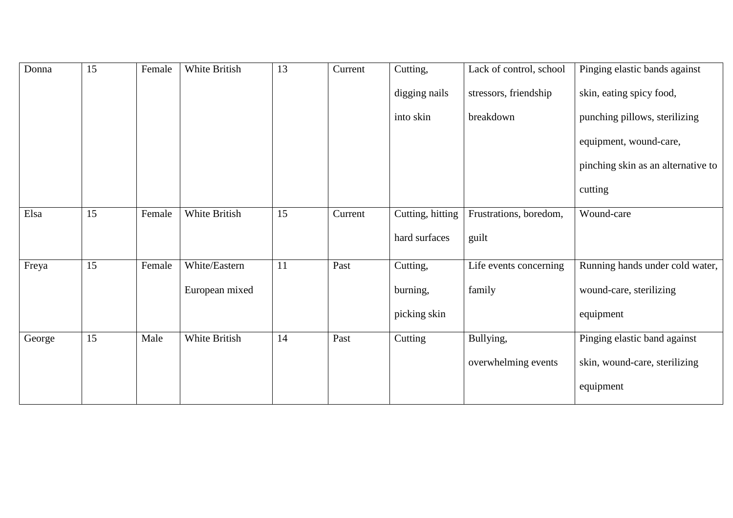| Donna  | 15 | Female | White British  | 13 | Current | Cutting,         | Lack of control, school | Pinging elastic bands against      |
|--------|----|--------|----------------|----|---------|------------------|-------------------------|------------------------------------|
|        |    |        |                |    |         | digging nails    | stressors, friendship   | skin, eating spicy food,           |
|        |    |        |                |    |         | into skin        | breakdown               | punching pillows, sterilizing      |
|        |    |        |                |    |         |                  |                         | equipment, wound-care,             |
|        |    |        |                |    |         |                  |                         | pinching skin as an alternative to |
|        |    |        |                |    |         |                  |                         | cutting                            |
| Elsa   | 15 | Female | White British  | 15 | Current | Cutting, hitting | Frustrations, boredom,  | Wound-care                         |
|        |    |        |                |    |         | hard surfaces    | guilt                   |                                    |
| Freya  | 15 | Female | White/Eastern  | 11 | Past    | Cutting,         | Life events concerning  | Running hands under cold water,    |
|        |    |        | European mixed |    |         | burning,         | family                  | wound-care, sterilizing            |
|        |    |        |                |    |         | picking skin     |                         | equipment                          |
| George | 15 | Male   | White British  | 14 | Past    | Cutting          | Bullying,               | Pinging elastic band against       |
|        |    |        |                |    |         |                  | overwhelming events     | skin, wound-care, sterilizing      |
|        |    |        |                |    |         |                  |                         | equipment                          |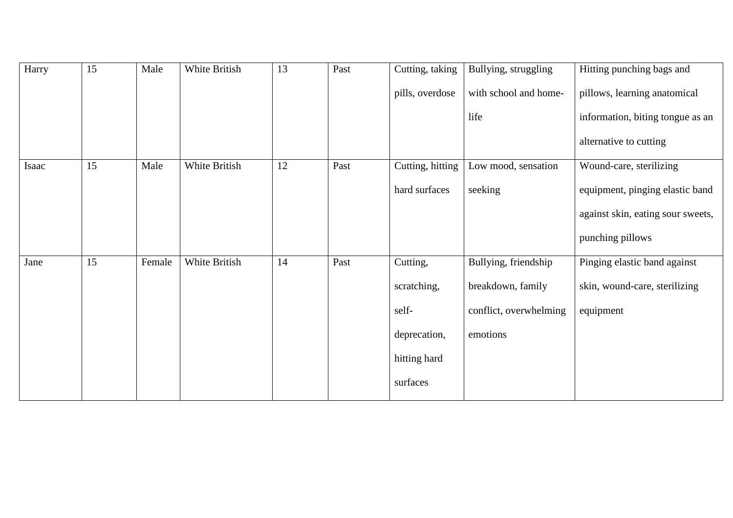| Harry | 15 | Male   | White British | 13 | Past | Cutting, taking  | Bullying, struggling   | Hitting punching bags and         |
|-------|----|--------|---------------|----|------|------------------|------------------------|-----------------------------------|
|       |    |        |               |    |      | pills, overdose  | with school and home-  | pillows, learning anatomical      |
|       |    |        |               |    |      |                  | life                   | information, biting tongue as an  |
|       |    |        |               |    |      |                  |                        | alternative to cutting            |
| Isaac | 15 | Male   | White British | 12 | Past | Cutting, hitting | Low mood, sensation    | Wound-care, sterilizing           |
|       |    |        |               |    |      | hard surfaces    | seeking                | equipment, pinging elastic band   |
|       |    |        |               |    |      |                  |                        | against skin, eating sour sweets, |
|       |    |        |               |    |      |                  |                        | punching pillows                  |
| Jane  | 15 | Female | White British | 14 | Past | Cutting,         | Bullying, friendship   | Pinging elastic band against      |
|       |    |        |               |    |      | scratching,      | breakdown, family      | skin, wound-care, sterilizing     |
|       |    |        |               |    |      | self-            | conflict, overwhelming | equipment                         |
|       |    |        |               |    |      | deprecation,     | emotions               |                                   |
|       |    |        |               |    |      | hitting hard     |                        |                                   |
|       |    |        |               |    |      | surfaces         |                        |                                   |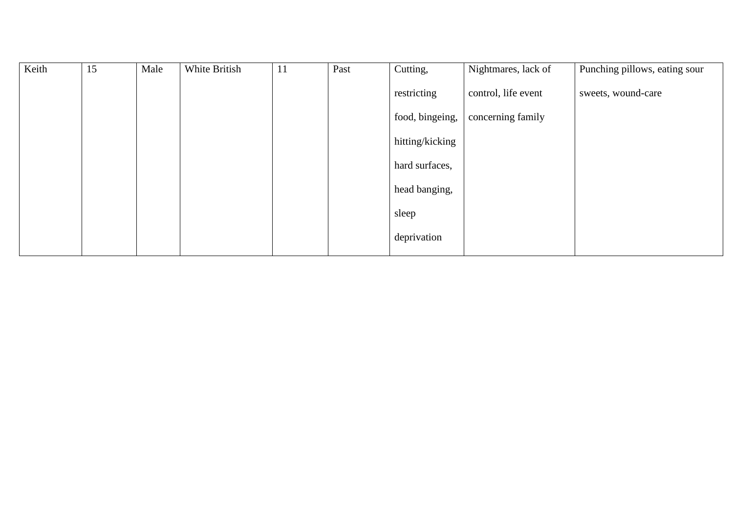| Keith | 15 | Male | White British | 11 | Past | Cutting,        | Nightmares, lack of | Punching pillows, eating sour |
|-------|----|------|---------------|----|------|-----------------|---------------------|-------------------------------|
|       |    |      |               |    |      | restricting     | control, life event | sweets, wound-care            |
|       |    |      |               |    |      | food, bingeing, | concerning family   |                               |
|       |    |      |               |    |      | hitting/kicking |                     |                               |
|       |    |      |               |    |      | hard surfaces,  |                     |                               |
|       |    |      |               |    |      | head banging,   |                     |                               |
|       |    |      |               |    |      | sleep           |                     |                               |
|       |    |      |               |    |      | deprivation     |                     |                               |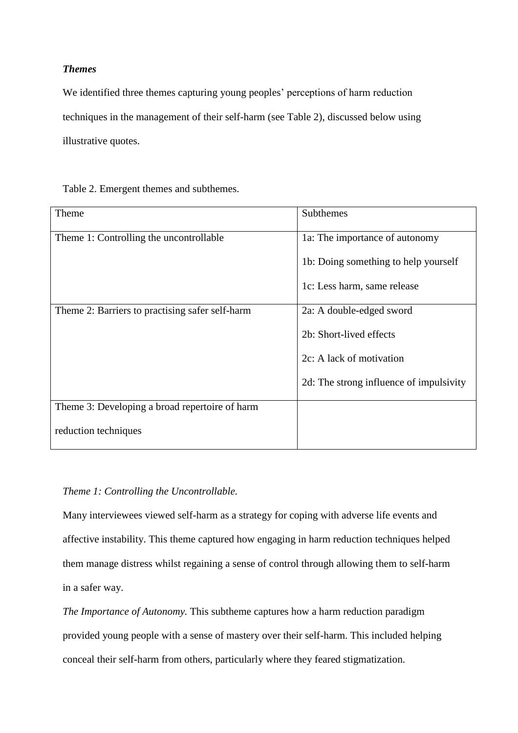# *Themes*

We identified three themes capturing young peoples' perceptions of harm reduction techniques in the management of their self-harm (see Table 2), discussed below using illustrative quotes.

| Theme                                           | Subthemes                               |
|-------------------------------------------------|-----------------------------------------|
| Theme 1: Controlling the uncontrollable         | 1a: The importance of autonomy          |
|                                                 | 1b: Doing something to help yourself    |
|                                                 | 1c: Less harm, same release             |
| Theme 2: Barriers to practising safer self-harm | 2a: A double-edged sword                |
|                                                 | 2b: Short-lived effects                 |
|                                                 | 2c: A lack of motivation                |
|                                                 | 2d: The strong influence of impulsivity |
| Theme 3: Developing a broad repertoire of harm  |                                         |
| reduction techniques                            |                                         |

# *Theme 1: Controlling the Uncontrollable.*

Many interviewees viewed self-harm as a strategy for coping with adverse life events and affective instability. This theme captured how engaging in harm reduction techniques helped them manage distress whilst regaining a sense of control through allowing them to self-harm in a safer way.

*The Importance of Autonomy.* This subtheme captures how a harm reduction paradigm provided young people with a sense of mastery over their self-harm. This included helping conceal their self-harm from others, particularly where they feared stigmatization.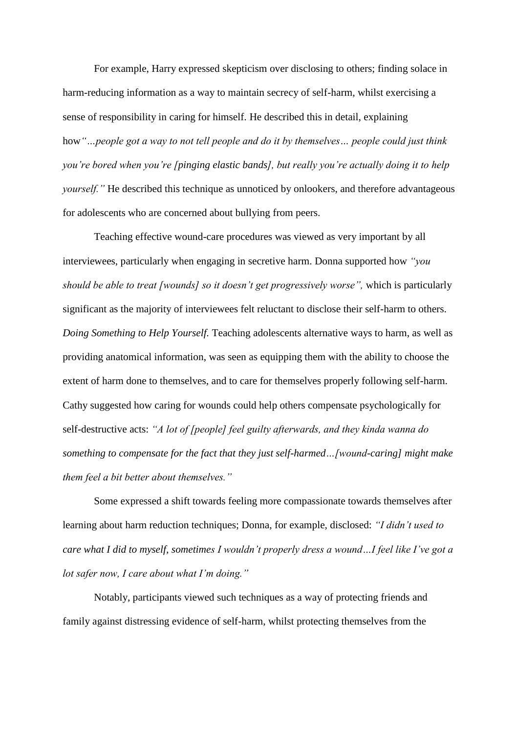For example, Harry expressed skepticism over disclosing to others; finding solace in harm-reducing information as a way to maintain secrecy of self-harm, whilst exercising a sense of responsibility in caring for himself. He described this in detail, explaining how*"…people got a way to not tell people and do it by themselves… people could just think you're bored when you're [pinging elastic bands], but really you're actually doing it to help yourself.*" He described this technique as unnoticed by onlookers, and therefore advantageous for adolescents who are concerned about bullying from peers.

Teaching effective wound-care procedures was viewed as very important by all interviewees, particularly when engaging in secretive harm. Donna supported how *"you should be able to treat [wounds] so it doesn't get progressively worse",* which is particularly significant as the majority of interviewees felt reluctant to disclose their self-harm to others. *Doing Something to Help Yourself.* Teaching adolescents alternative ways to harm, as well as providing anatomical information, was seen as equipping them with the ability to choose the extent of harm done to themselves, and to care for themselves properly following self-harm. Cathy suggested how caring for wounds could help others compensate psychologically for self-destructive acts: *"A lot of [people] feel guilty afterwards, and they kinda wanna do something to compensate for the fact that they just self-harmed…[wound-caring] might make them feel a bit better about themselves."*

Some expressed a shift towards feeling more compassionate towards themselves after learning about harm reduction techniques; Donna, for example, disclosed: *"I didn't used to care what I did to myself, sometimes I wouldn't properly dress a wound…I feel like I've got a lot safer now, I care about what I'm doing."*

Notably, participants viewed such techniques as a way of protecting friends and family against distressing evidence of self-harm, whilst protecting themselves from the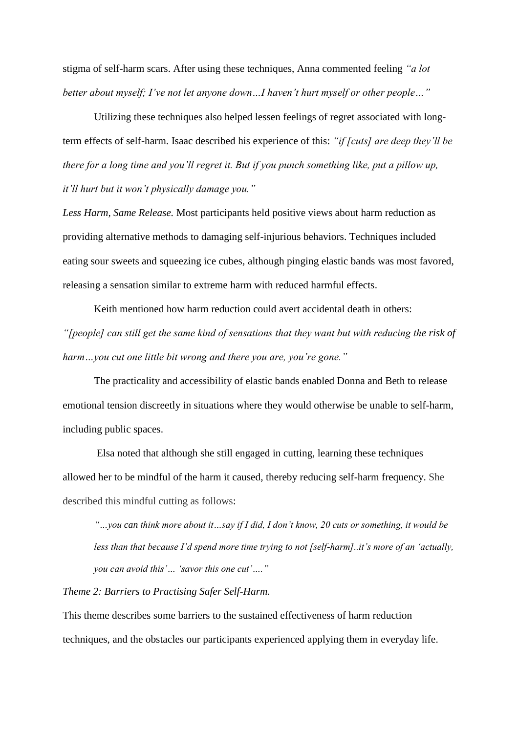stigma of self-harm scars. After using these techniques, Anna commented feeling *"a lot better about myself; I've not let anyone down…I haven't hurt myself or other people…"*

Utilizing these techniques also helped lessen feelings of regret associated with longterm effects of self-harm. Isaac described his experience of this: *"if [cuts] are deep they'll be there for a long time and you'll regret it. But if you punch something like, put a pillow up, it'll hurt but it won't physically damage you."* 

*Less Harm, Same Release.* Most participants held positive views about harm reduction as providing alternative methods to damaging self-injurious behaviors. Techniques included eating sour sweets and squeezing ice cubes, although pinging elastic bands was most favored, releasing a sensation similar to extreme harm with reduced harmful effects.

Keith mentioned how harm reduction could avert accidental death in others: *"[people] can still get the same kind of sensations that they want but with reducing the risk of harm…you cut one little bit wrong and there you are, you're gone."*

The practicality and accessibility of elastic bands enabled Donna and Beth to release emotional tension discreetly in situations where they would otherwise be unable to self-harm, including public spaces.

Elsa noted that although she still engaged in cutting, learning these techniques allowed her to be mindful of the harm it caused, thereby reducing self-harm frequency. She described this mindful cutting as follows:

*"…you can think more about it…say if I did, I don't know, 20 cuts or something, it would be less than that because I'd spend more time trying to not [self-harm]..it's more of an 'actually, you can avoid this'… 'savor this one cut'…."*

### *Theme 2: Barriers to Practising Safer Self-Harm.*

This theme describes some barriers to the sustained effectiveness of harm reduction techniques, and the obstacles our participants experienced applying them in everyday life.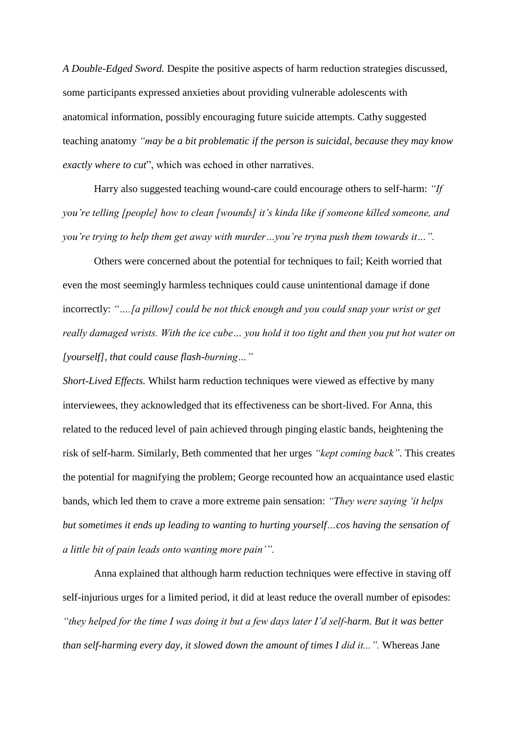*A Double-Edged Sword.* Despite the positive aspects of harm reduction strategies discussed, some participants expressed anxieties about providing vulnerable adolescents with anatomical information, possibly encouraging future suicide attempts. Cathy suggested teaching anatomy *"may be a bit problematic if the person is suicidal, because they may know exactly where to cut*", which was echoed in other narratives.

Harry also suggested teaching wound-care could encourage others to self-harm: *"If you're telling [people] how to clean [wounds] it's kinda like if someone killed someone, and you're trying to help them get away with murder...you're tryna push them towards it...".* 

Others were concerned about the potential for techniques to fail; Keith worried that even the most seemingly harmless techniques could cause unintentional damage if done incorrectly: *"….[a pillow] could be not thick enough and you could snap your wrist or get really damaged wrists. With the ice cube… you hold it too tight and then you put hot water on [yourself], that could cause flash-burning…"*

*Short-Lived Effects.* Whilst harm reduction techniques were viewed as effective by many interviewees, they acknowledged that its effectiveness can be short-lived. For Anna, this related to the reduced level of pain achieved through pinging elastic bands, heightening the risk of self-harm. Similarly, Beth commented that her urges *"kept coming back"*. This creates the potential for magnifying the problem; George recounted how an acquaintance used elastic bands, which led them to crave a more extreme pain sensation: *"They were saying 'it helps but sometimes it ends up leading to wanting to hurting yourself…cos having the sensation of a little bit of pain leads onto wanting more pain'".*

Anna explained that although harm reduction techniques were effective in staving off self-injurious urges for a limited period, it did at least reduce the overall number of episodes: *"they helped for the time I was doing it but a few days later I'd self-harm. But it was better than self-harming every day, it slowed down the amount of times I did it...".* Whereas Jane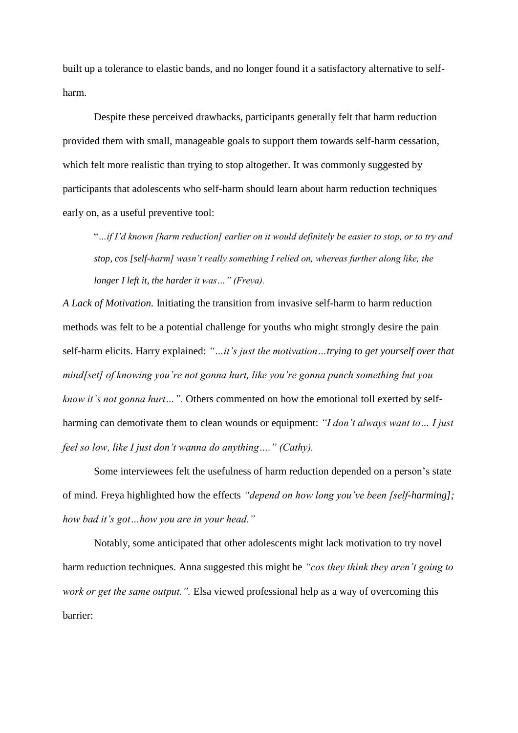built up a tolerance to elastic bands, and no longer found it a satisfactory alternative to selfharm.

Despite these perceived drawbacks, participants generally felt that harm reduction provided them with small, manageable goals to support them towards self-harm cessation, which felt more realistic than trying to stop altogether. It was commonly suggested by participants that adolescents who self-harm should learn about harm reduction techniques early on, as a useful preventive tool:

"*…if I'd known [harm reduction] earlier on it would definitely be easier to stop, or to try and stop, cos [self-harm] wasn't really something I relied on, whereas further along like, the longer I left it, the harder it was…" (Freya).*

*A Lack of Motivation.* Initiating the transition from invasive self-harm to harm reduction methods was felt to be a potential challenge for youths who might strongly desire the pain self-harm elicits. Harry explained: *"…it's just the motivation…trying to get yourself over that mind[set] of knowing you're not gonna hurt, like you're gonna punch something but you know it's not gonna hurt…".* Others commented on how the emotional toll exerted by selfharming can demotivate them to clean wounds or equipment: *"I don't always want to… I just feel so low, like I just don't wanna do anything…." (Cathy).*

Some interviewees felt the usefulness of harm reduction depended on a person's state of mind. Freya highlighted how the effects *"depend on how long you've been [self-harming]; how bad it's got…how you are in your head."*

Notably, some anticipated that other adolescents might lack motivation to try novel harm reduction techniques. Anna suggested this might be *"cos they think they aren't going to work or get the same output.".* Elsa viewed professional help as a way of overcoming this barrier: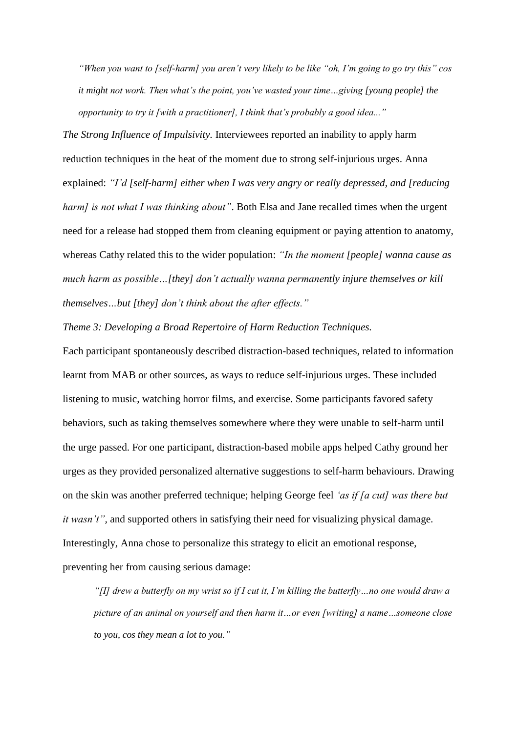*"When you want to [self-harm] you aren't very likely to be like "oh, I'm going to go try this" cos it might not work. Then what's the point, you've wasted your time…giving [young people] the opportunity to try it [with a practitioner], I think that's probably a good idea..."*

*The Strong Influence of Impulsivity.* Interviewees reported an inability to apply harm reduction techniques in the heat of the moment due to strong self-injurious urges. Anna explained: *"I'd [self-harm] either when I was very angry or really depressed, and [reducing harm]* is not what I was thinking about". Both Elsa and Jane recalled times when the urgent need for a release had stopped them from cleaning equipment or paying attention to anatomy, whereas Cathy related this to the wider population: *"In the moment [people] wanna cause as much harm as possible…[they] don't actually wanna permanently injure themselves or kill themselves…but [they] don't think about the after effects."*

*Theme 3: Developing a Broad Repertoire of Harm Reduction Techniques.*

Each participant spontaneously described distraction-based techniques, related to information learnt from MAB or other sources, as ways to reduce self-injurious urges. These included listening to music, watching horror films, and exercise. Some participants favored safety behaviors, such as taking themselves somewhere where they were unable to self-harm until the urge passed. For one participant, distraction-based mobile apps helped Cathy ground her urges as they provided personalized alternative suggestions to self-harm behaviours. Drawing on the skin was another preferred technique; helping George feel *'as if [a cut] was there but it wasn't",* and supported others in satisfying their need for visualizing physical damage. Interestingly, Anna chose to personalize this strategy to elicit an emotional response, preventing her from causing serious damage:

*"[I] drew a butterfly on my wrist so if I cut it, I'm killing the butterfly…no one would draw a picture of an animal on yourself and then harm it…or even [writing] a name…someone close to you, cos they mean a lot to you."*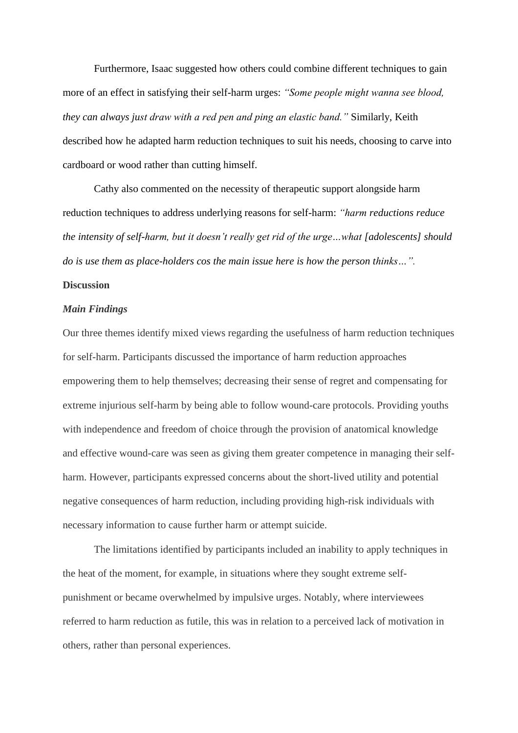Furthermore, Isaac suggested how others could combine different techniques to gain more of an effect in satisfying their self-harm urges: *"Some people might wanna see blood, they can always just draw with a red pen and ping an elastic band."* Similarly, Keith described how he adapted harm reduction techniques to suit his needs, choosing to carve into cardboard or wood rather than cutting himself.

Cathy also commented on the necessity of therapeutic support alongside harm reduction techniques to address underlying reasons for self-harm: *"harm reductions reduce the intensity of self-harm, but it doesn't really get rid of the urge…what [adolescents] should do is use them as place-holders cos the main issue here is how the person thinks…".* 

### **Discussion**

## *Main Findings*

Our three themes identify mixed views regarding the usefulness of harm reduction techniques for self-harm. Participants discussed the importance of harm reduction approaches empowering them to help themselves; decreasing their sense of regret and compensating for extreme injurious self-harm by being able to follow wound-care protocols. Providing youths with independence and freedom of choice through the provision of anatomical knowledge and effective wound-care was seen as giving them greater competence in managing their selfharm. However, participants expressed concerns about the short-lived utility and potential negative consequences of harm reduction, including providing high-risk individuals with necessary information to cause further harm or attempt suicide.

The limitations identified by participants included an inability to apply techniques in the heat of the moment, for example, in situations where they sought extreme selfpunishment or became overwhelmed by impulsive urges. Notably, where interviewees referred to harm reduction as futile, this was in relation to a perceived lack of motivation in others, rather than personal experiences.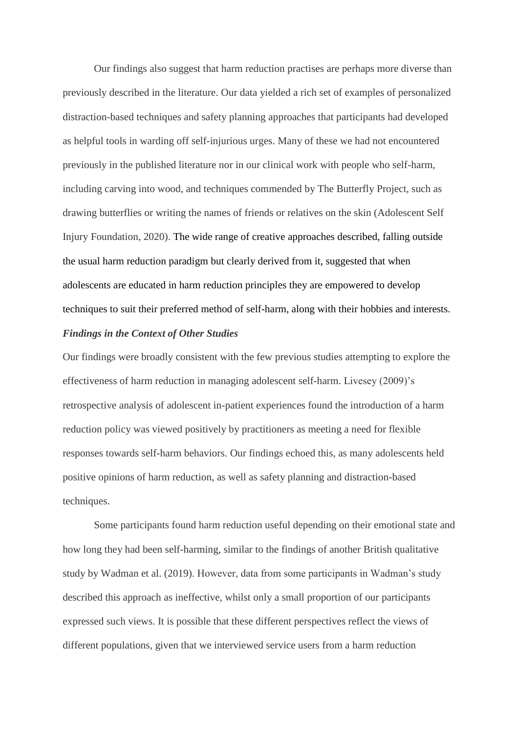Our findings also suggest that harm reduction practises are perhaps more diverse than previously described in the literature. Our data yielded a rich set of examples of personalized distraction-based techniques and safety planning approaches that participants had developed as helpful tools in warding off self-injurious urges. Many of these we had not encountered previously in the published literature nor in our clinical work with people who self-harm, including carving into wood, and techniques commended by The Butterfly Project, such as drawing butterflies or writing the names of friends or relatives on the skin (Adolescent Self Injury Foundation, 2020). The wide range of creative approaches described, falling outside the usual harm reduction paradigm but clearly derived from it, suggested that when adolescents are educated in harm reduction principles they are empowered to develop techniques to suit their preferred method of self-harm, along with their hobbies and interests.

## *Findings in the Context of Other Studies*

Our findings were broadly consistent with the few previous studies attempting to explore the effectiveness of harm reduction in managing adolescent self-harm. Livesey (2009)'s retrospective analysis of adolescent in-patient experiences found the introduction of a harm reduction policy was viewed positively by practitioners as meeting a need for flexible responses towards self-harm behaviors. Our findings echoed this, as many adolescents held positive opinions of harm reduction, as well as safety planning and distraction-based techniques.

Some participants found harm reduction useful depending on their emotional state and how long they had been self-harming, similar to the findings of another British qualitative study by Wadman et al. (2019). However, data from some participants in Wadman's study described this approach as ineffective, whilst only a small proportion of our participants expressed such views. It is possible that these different perspectives reflect the views of different populations, given that we interviewed service users from a harm reduction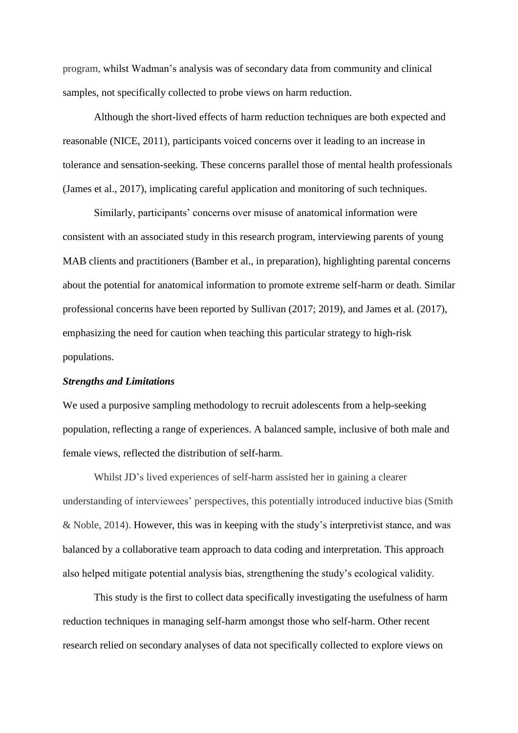program, whilst Wadman's analysis was of secondary data from community and clinical samples, not specifically collected to probe views on harm reduction.

Although the short-lived effects of harm reduction techniques are both expected and reasonable (NICE, 2011), participants voiced concerns over it leading to an increase in tolerance and sensation-seeking. These concerns parallel those of mental health professionals (James et al., 2017), implicating careful application and monitoring of such techniques.

Similarly, participants' concerns over misuse of anatomical information were consistent with an associated study in this research program, interviewing parents of young MAB clients and practitioners (Bamber et al., in preparation), highlighting parental concerns about the potential for anatomical information to promote extreme self-harm or death. Similar professional concerns have been reported by Sullivan (2017; 2019), and James et al. (2017), emphasizing the need for caution when teaching this particular strategy to high-risk populations.

#### *Strengths and Limitations*

We used a purposive sampling methodology to recruit adolescents from a help-seeking population, reflecting a range of experiences. A balanced sample, inclusive of both male and female views, reflected the distribution of self-harm.

Whilst JD's lived experiences of self-harm assisted her in gaining a clearer understanding of interviewees' perspectives, this potentially introduced inductive bias (Smith & Noble, 2014). However, this was in keeping with the study's interpretivist stance, and was balanced by a collaborative team approach to data coding and interpretation. This approach also helped mitigate potential analysis bias, strengthening the study's ecological validity.

This study is the first to collect data specifically investigating the usefulness of harm reduction techniques in managing self-harm amongst those who self-harm. Other recent research relied on secondary analyses of data not specifically collected to explore views on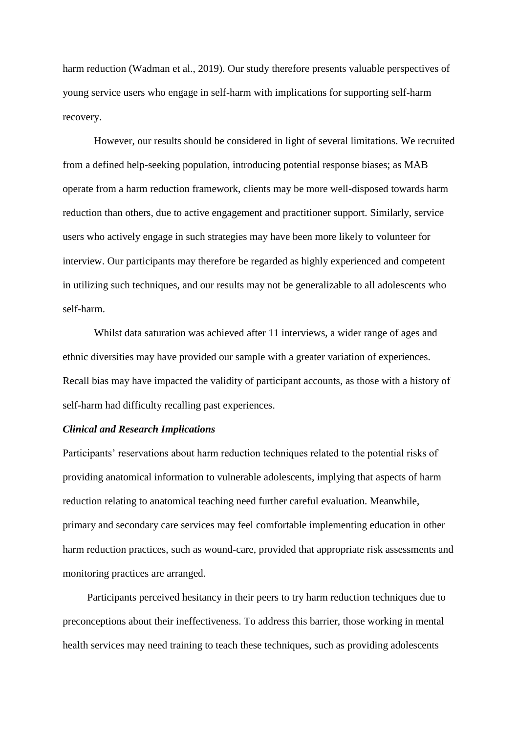harm reduction (Wadman et al., 2019). Our study therefore presents valuable perspectives of young service users who engage in self-harm with implications for supporting self-harm recovery.

However, our results should be considered in light of several limitations. We recruited from a defined help-seeking population, introducing potential response biases; as MAB operate from a harm reduction framework, clients may be more well-disposed towards harm reduction than others, due to active engagement and practitioner support. Similarly, service users who actively engage in such strategies may have been more likely to volunteer for interview. Our participants may therefore be regarded as highly experienced and competent in utilizing such techniques, and our results may not be generalizable to all adolescents who self-harm.

Whilst data saturation was achieved after 11 interviews, a wider range of ages and ethnic diversities may have provided our sample with a greater variation of experiences. Recall bias may have impacted the validity of participant accounts, as those with a history of self-harm had difficulty recalling past experiences.

#### *Clinical and Research Implications*

Participants' reservations about harm reduction techniques related to the potential risks of providing anatomical information to vulnerable adolescents, implying that aspects of harm reduction relating to anatomical teaching need further careful evaluation. Meanwhile, primary and secondary care services may feel comfortable implementing education in other harm reduction practices, such as wound-care, provided that appropriate risk assessments and monitoring practices are arranged.

Participants perceived hesitancy in their peers to try harm reduction techniques due to preconceptions about their ineffectiveness. To address this barrier, those working in mental health services may need training to teach these techniques, such as providing adolescents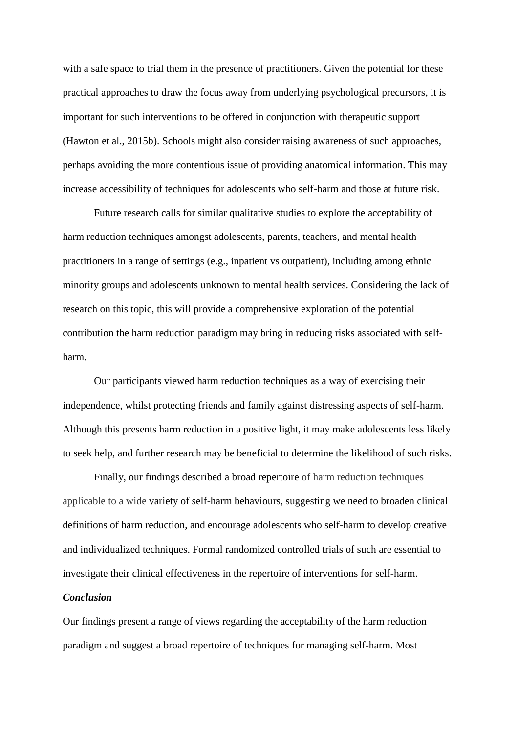with a safe space to trial them in the presence of practitioners. Given the potential for these practical approaches to draw the focus away from underlying psychological precursors, it is important for such interventions to be offered in conjunction with therapeutic support (Hawton et al., 2015b). Schools might also consider raising awareness of such approaches, perhaps avoiding the more contentious issue of providing anatomical information. This may increase accessibility of techniques for adolescents who self-harm and those at future risk.

Future research calls for similar qualitative studies to explore the acceptability of harm reduction techniques amongst adolescents, parents, teachers, and mental health practitioners in a range of settings (e.g., inpatient vs outpatient), including among ethnic minority groups and adolescents unknown to mental health services. Considering the lack of research on this topic, this will provide a comprehensive exploration of the potential contribution the harm reduction paradigm may bring in reducing risks associated with selfharm.

Our participants viewed harm reduction techniques as a way of exercising their independence, whilst protecting friends and family against distressing aspects of self-harm. Although this presents harm reduction in a positive light, it may make adolescents less likely to seek help, and further research may be beneficial to determine the likelihood of such risks.

Finally, our findings described a broad repertoire of harm reduction techniques applicable to a wide variety of self-harm behaviours, suggesting we need to broaden clinical definitions of harm reduction, and encourage adolescents who self-harm to develop creative and individualized techniques. Formal randomized controlled trials of such are essential to investigate their clinical effectiveness in the repertoire of interventions for self-harm.

## *Conclusion*

Our findings present a range of views regarding the acceptability of the harm reduction paradigm and suggest a broad repertoire of techniques for managing self-harm. Most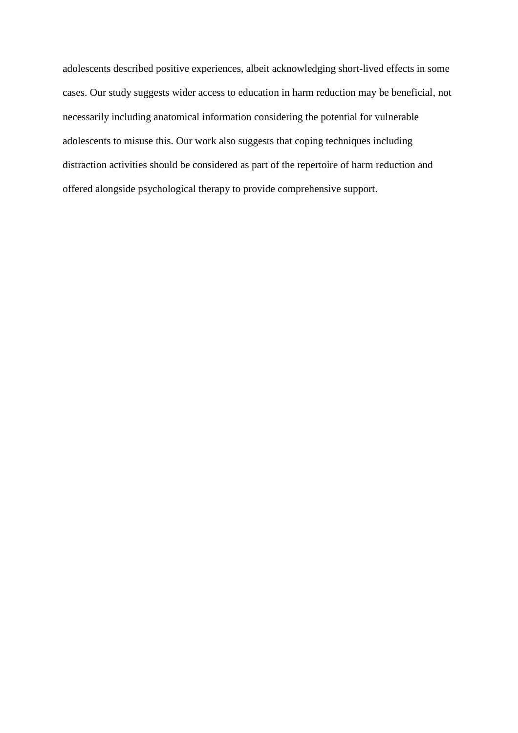adolescents described positive experiences, albeit acknowledging short-lived effects in some cases. Our study suggests wider access to education in harm reduction may be beneficial, not necessarily including anatomical information considering the potential for vulnerable adolescents to misuse this. Our work also suggests that coping techniques including distraction activities should be considered as part of the repertoire of harm reduction and offered alongside psychological therapy to provide comprehensive support.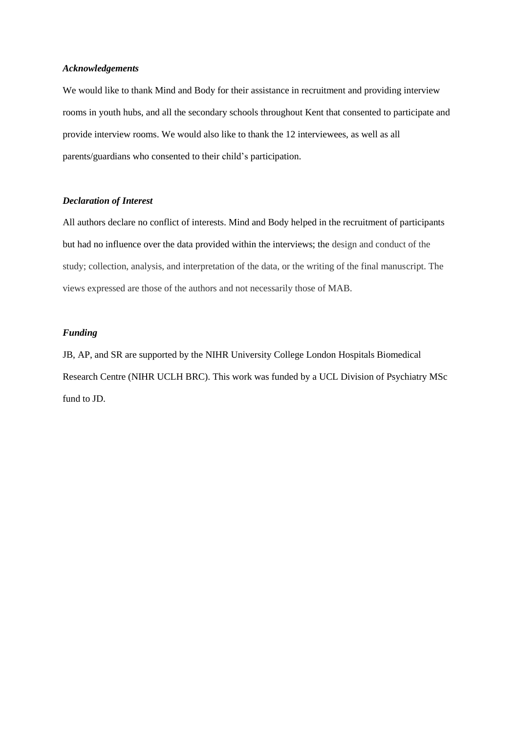#### *Acknowledgements*

We would like to thank Mind and Body for their assistance in recruitment and providing interview rooms in youth hubs, and all the secondary schools throughout Kent that consented to participate and provide interview rooms. We would also like to thank the 12 interviewees, as well as all parents/guardians who consented to their child's participation.

#### *Declaration of Interest*

All authors declare no conflict of interests. Mind and Body helped in the recruitment of participants but had no influence over the data provided within the interviews; the design and conduct of the study; collection, analysis, and interpretation of the data, or the writing of the final manuscript. The views expressed are those of the authors and not necessarily those of MAB.

#### *Funding*

JB, AP, and SR are supported by the NIHR University College London Hospitals Biomedical Research Centre (NIHR UCLH BRC). This work was funded by a UCL Division of Psychiatry MSc fund to JD.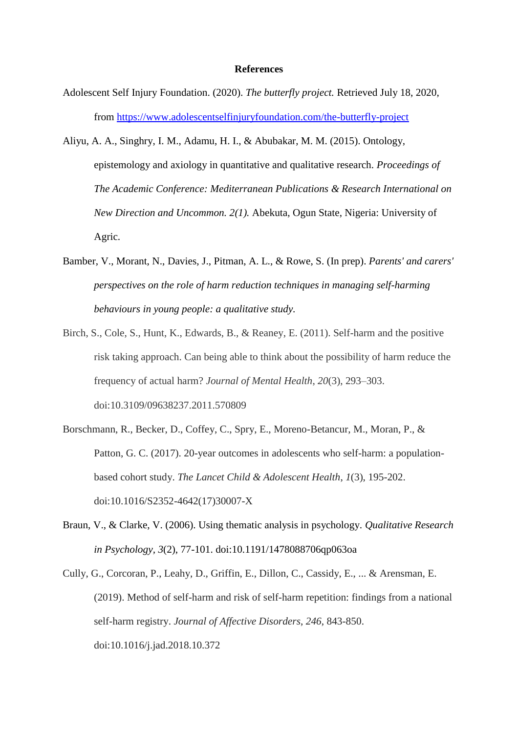#### **References**

- Adolescent Self Injury Foundation. (2020). *The butterfly project.* Retrieved July 18, 2020, from<https://www.adolescentselfinjuryfoundation.com/the-butterfly-project>
- Aliyu, A. A., Singhry, I. M., Adamu, H. I., & Abubakar, M. M. (2015). Ontology, epistemology and axiology in quantitative and qualitative research. *Proceedings of The Academic Conference: Mediterranean Publications & Research International on New Direction and Uncommon. 2(1).* Abekuta, Ogun State, Nigeria: University of Agric.
- Bamber, V., Morant, N., Davies, J., Pitman, A. L., & Rowe, S. (In prep). *Parents' and carers' perspectives on the role of harm reduction techniques in managing self-harming behaviours in young people: a qualitative study.*
- Birch, S., Cole, S., Hunt, K., Edwards, B., & Reaney, E. (2011). Self-harm and the positive risk taking approach. Can being able to think about the possibility of harm reduce the frequency of actual harm? *Journal of Mental Health*, *20*(3), 293–303. doi:10.3109/09638237.2011.570809
- Borschmann, R., Becker, D., Coffey, C., Spry, E., Moreno-Betancur, M., Moran, P., & Patton, G. C. (2017). 20-year outcomes in adolescents who self-harm: a populationbased cohort study. *The Lancet Child & Adolescent Health*, *1*(3), 195-202. doi:10.1016/S2352-4642(17)30007-X
- Braun, V., & Clarke, V. (2006). Using thematic analysis in psychology. *Qualitative Research in Psychology, 3*(2), 77-101. doi:10.1191/1478088706qp063oa
- Cully, G., Corcoran, P., Leahy, D., Griffin, E., Dillon, C., Cassidy, E., ... & Arensman, E. (2019). Method of self-harm and risk of self-harm repetition: findings from a national self-harm registry. *Journal of Affective Disorders*, *246*, 843-850. doi:10.1016/j.jad.2018.10.372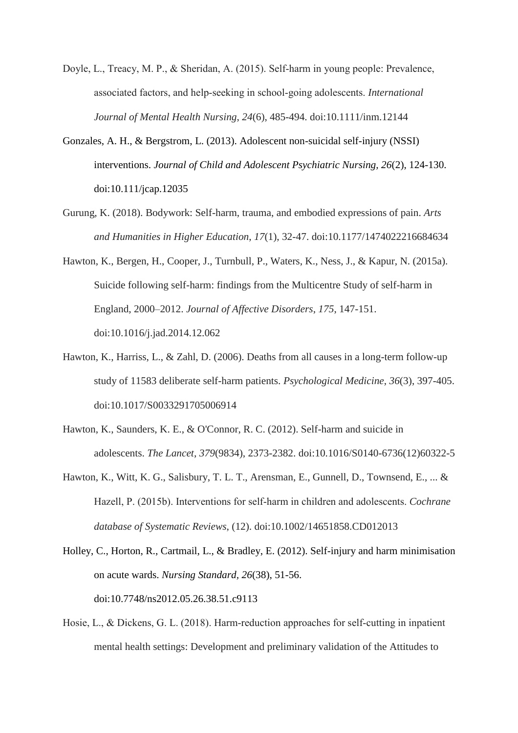- Doyle, L., Treacy, M. P., & Sheridan, A. (2015). Self-harm in young people: Prevalence, associated factors, and help‐seeking in school‐going adolescents. *International Journal of Mental Health Nursing*, *24*(6), 485-494. doi:10.1111/inm.12144
- Gonzales, A. H., & Bergstrom, L. (2013). Adolescent non-suicidal self-injury (NSSI) interventions. *Journal of Child and Adolescent Psychiatric Nursing, 26*(2), 124-130. doi:10.111/jcap.12035
- Gurung, K. (2018). Bodywork: Self-harm, trauma, and embodied expressions of pain. *Arts and Humanities in Higher Education*, *17*(1), 32-47. doi:10.1177/1474022216684634
- Hawton, K., Bergen, H., Cooper, J., Turnbull, P., Waters, K., Ness, J., & Kapur, N. (2015a). Suicide following self-harm: findings from the Multicentre Study of self-harm in England, 2000–2012. *Journal of Affective Disorders*, *175*, 147-151. doi:10.1016/j.jad.2014.12.062
- Hawton, K., Harriss, L., & Zahl, D. (2006). Deaths from all causes in a long-term follow-up study of 11583 deliberate self-harm patients. *Psychological Medicine*, *36*(3), 397-405. doi:10.1017/S0033291705006914
- Hawton, K., Saunders, K. E., & O'Connor, R. C. (2012). Self-harm and suicide in adolescents. *The Lancet*, *379*(9834), 2373-2382. doi:10.1016/S0140-6736(12)60322-5
- Hawton, K., Witt, K. G., Salisbury, T. L. T., Arensman, E., Gunnell, D., Townsend, E., ... & Hazell, P. (2015b). Interventions for self‐harm in children and adolescents. *Cochrane database of Systematic Reviews*, (12). doi:10.1002/14651858.CD012013
- Holley, C., Horton, R., Cartmail, L., & Bradley, E. (2012). Self-injury and harm minimisation on acute wards. *Nursing Standard, 26*(38), 51-56. doi:10.7748/ns2012.05.26.38.51.c9113
- Hosie, L., & Dickens, G. L. (2018). Harm-reduction approaches for self-cutting in inpatient mental health settings: Development and preliminary validation of the Attitudes to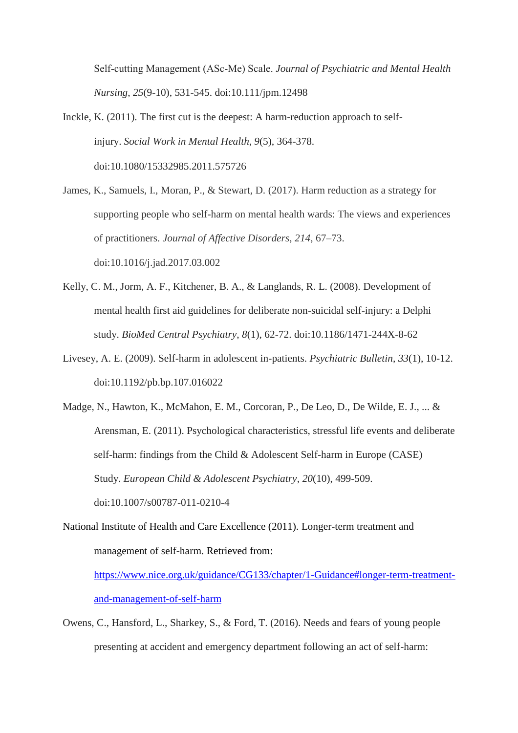Self‐cutting Management (ASc‐Me) Scale. *Journal of Psychiatric and Mental Health Nursing*, *25*(9-10), 531-545. doi:10.111/jpm.12498

- Inckle, K. (2011). The first cut is the deepest: A harm-reduction approach to selfinjury. *Social Work in Mental Health*, *9*(5), 364-378. doi:10.1080/15332985.2011.575726
- James, K., Samuels, I., Moran, P., & Stewart, D. (2017). Harm reduction as a strategy for supporting people who self-harm on mental health wards: The views and experiences of practitioners. *Journal of Affective Disorders*, *214*, 67–73. doi:10.1016/j.jad.2017.03.002
- Kelly, C. M., Jorm, A. F., Kitchener, B. A., & Langlands, R. L. (2008). Development of mental health first aid guidelines for deliberate non-suicidal self-injury: a Delphi study. *BioMed Central Psychiatry*, *8*(1), 62-72. doi:10.1186/1471-244X-8-62
- Livesey, A. E. (2009). Self-harm in adolescent in-patients. *Psychiatric Bulletin*, *33*(1), 10-12. doi:10.1192/pb.bp.107.016022
- Madge, N., Hawton, K., McMahon, E. M., Corcoran, P., De Leo, D., De Wilde, E. J., ... & Arensman, E. (2011). Psychological characteristics, stressful life events and deliberate self-harm: findings from the Child & Adolescent Self-harm in Europe (CASE) Study. *European Child & Adolescent Psychiatry*, *20*(10), 499-509. doi:10.1007/s00787-011-0210-4
- National Institute of Health and Care Excellence (2011). Longer-term treatment and management of self-harm. Retrieved from:

[https://www.nice.org.uk/guidance/CG133/chapter/1-Guidance#longer-term-treatment](https://www.nice.org.uk/guidance/CG133/chapter/1-Guidance#longer-term-treatment-and-management-of-self-harm)[and-management-of-self-harm](https://www.nice.org.uk/guidance/CG133/chapter/1-Guidance#longer-term-treatment-and-management-of-self-harm)

Owens, C., Hansford, L., Sharkey, S., & Ford, T. (2016). Needs and fears of young people presenting at accident and emergency department following an act of self-harm: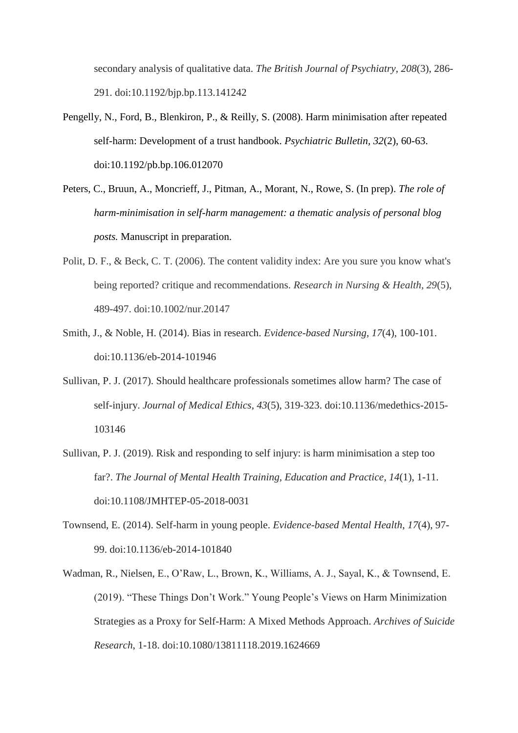secondary analysis of qualitative data. *The British Journal of Psychiatry*, *208*(3), 286- 291. doi:10.1192/bjp.bp.113.141242

- Pengelly, N., Ford, B., Blenkiron, P., & Reilly, S. (2008). Harm minimisation after repeated self-harm: Development of a trust handbook. *Psychiatric Bulletin, 32*(2), 60-63. doi:10.1192/pb.bp.106.012070
- Peters, C., Bruun, A., Moncrieff, J., Pitman, A., Morant, N., Rowe, S. (In prep). *The role of harm-minimisation in self-harm management: a thematic analysis of personal blog posts.* Manuscript in preparation.
- Polit, D. F., & Beck, C. T. (2006). The content validity index: Are you sure you know what's being reported? critique and recommendations. *Research in Nursing & Health, 29*(5), 489-497. doi:10.1002/nur.20147
- Smith, J., & Noble, H. (2014). Bias in research. *Evidence-based Nursing*, *17*(4), 100-101. doi:10.1136/eb-2014-101946
- Sullivan, P. J. (2017). Should healthcare professionals sometimes allow harm? The case of self-injury. *Journal of Medical Ethics*, *43*(5), 319-323. doi:10.1136/medethics-2015- 103146
- Sullivan, P. J. (2019). Risk and responding to self injury: is harm minimisation a step too far?. *The Journal of Mental Health Training, Education and Practice*, *14*(1), 1-11. doi:10.1108/JMHTEP-05-2018-0031
- Townsend, E. (2014). Self-harm in young people. *Evidence-based Mental Health*, *17*(4), 97- 99. doi:10.1136/eb-2014-101840
- Wadman, R., Nielsen, E., O'Raw, L., Brown, K., Williams, A. J., Sayal, K., & Townsend, E. (2019). "These Things Don't Work." Young People's Views on Harm Minimization Strategies as a Proxy for Self-Harm: A Mixed Methods Approach. *Archives of Suicide Research*, 1-18. doi:10.1080/13811118.2019.1624669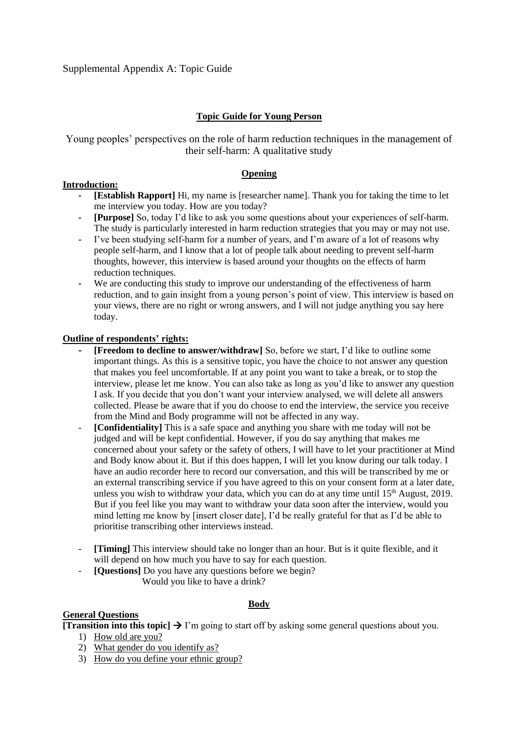## **Topic Guide for Young Person**

Young peoples' perspectives on the role of harm reduction techniques in the management of their self-harm: A qualitative study

#### **Opening**

#### **Introduction:**

- **- [Establish Rapport]** Hi, my name is [researcher name]. Thank you for taking the time to let me interview you today. How are you today?
- **- [Purpose]** So, today I'd like to ask you some questions about your experiences of self-harm. The study is particularly interested in harm reduction strategies that you may or may not use.
- **-** I've been studying self-harm for a number of years, and I'm aware of a lot of reasons why people self-harm, and I know that a lot of people talk about needing to prevent self-harm thoughts, however, this interview is based around your thoughts on the effects of harm reduction techniques.
- We are conducting this study to improve our understanding of the effectiveness of harm reduction, and to gain insight from a young person's point of view. This interview is based on your views, there are no right or wrong answers, and I will not judge anything you say here today.

#### **Outline of respondents' rights:**

- **- [Freedom to decline to answer/withdraw]** So, before we start, I'd like to outline some important things. As this is a sensitive topic, you have the choice to not answer any question that makes you feel uncomfortable. If at any point you want to take a break, or to stop the interview, please let me know. You can also take as long as you'd like to answer any question I ask. If you decide that you don't want your interview analysed, we will delete all answers collected. Please be aware that if you do choose to end the interview, the service you receive from the Mind and Body programme will not be affected in any way.
- [Confidentiality] This is a safe space and anything you share with me today will not be judged and will be kept confidential. However, if you do say anything that makes me concerned about your safety or the safety of others, I will have to let your practitioner at Mind and Body know about it. But if this does happen, I will let you know during our talk today. I have an audio recorder here to record our conversation, and this will be transcribed by me or an external transcribing service if you have agreed to this on your consent form at a later date, unless you wish to withdraw your data, which you can do at any time until  $15<sup>th</sup>$  August, 2019. But if you feel like you may want to withdraw your data soon after the interview, would you mind letting me know by [insert closer date], I'd be really grateful for that as I'd be able to prioritise transcribing other interviews instead.
- **[Timing]** This interview should take no longer than an hour. But is it quite flexible, and it will depend on how much you have to say for each question.
- **[Questions]** Do you have any questions before we begin? Would you like to have a drink?

#### **Body**

## **General Questions**

**[Transition into this topic]**  $\rightarrow$  I'm going to start off by asking some general questions about you.

- 1) How old are you?
- 2) What gender do you identify as?
- 3) How do you define your ethnic group?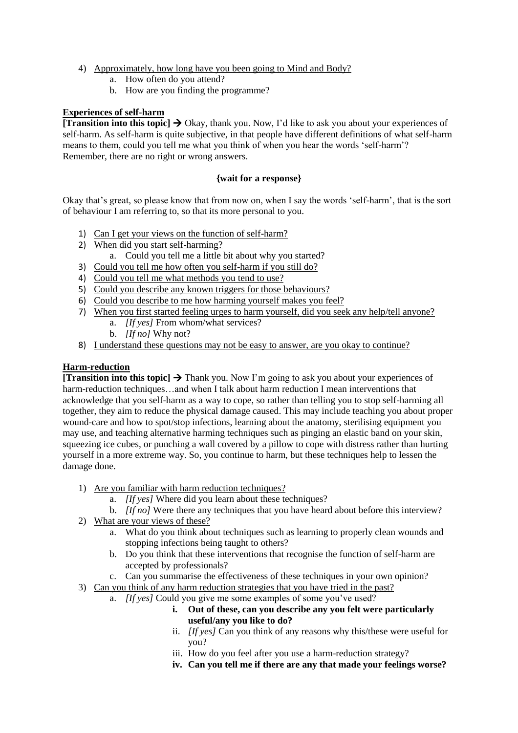- 4) Approximately, how long have you been going to Mind and Body?
	- a. How often do you attend?
	- b. How are you finding the programme?

#### **Experiences of self-harm**

**Transition into this topic**  $\rightarrow$  Okay, thank you. Now, I'd like to ask you about your experiences of self-harm. As self-harm is quite subjective, in that people have different definitions of what self-harm means to them, could you tell me what you think of when you hear the words 'self-harm'? Remember, there are no right or wrong answers.

#### **{wait for a response}**

Okay that's great, so please know that from now on, when I say the words 'self-harm', that is the sort of behaviour I am referring to, so that its more personal to you.

- 1) Can I get your views on the function of self-harm?
- 2) When did you start self-harming?
- a. Could you tell me a little bit about why you started?
- 3) Could you tell me how often you self-harm if you still do?
- 4) Could you tell me what methods you tend to use?
- 5) Could you describe any known triggers for those behaviours?
- 6) Could you describe to me how harming yourself makes you feel?
- 7) When you first started feeling urges to harm yourself, did you seek any help/tell anyone?
	- a. *[If yes]* From whom/what services?
	- b. *[If no]* Why not?
- 8) I understand these questions may not be easy to answer, are you okay to continue?

### **Harm-reduction**

**[Transition into this topic]**  $\rightarrow$  **Thank you. Now I'm going to ask you about your experiences of** harm-reduction techniques…and when I talk about harm reduction I mean interventions that acknowledge that you self-harm as a way to cope, so rather than telling you to stop self-harming all together, they aim to reduce the physical damage caused. This may include teaching you about proper wound-care and how to spot/stop infections, learning about the anatomy, sterilising equipment you may use, and teaching alternative harming techniques such as pinging an elastic band on your skin, squeezing ice cubes, or punching a wall covered by a pillow to cope with distress rather than hurting yourself in a more extreme way. So, you continue to harm, but these techniques help to lessen the damage done.

- 1) Are you familiar with harm reduction techniques?
	- a. *[If yes]* Where did you learn about these techniques?
	- b. *[If no]* Were there any techniques that you have heard about before this interview?
- 2) What are your views of these?
	- a. What do you think about techniques such as learning to properly clean wounds and stopping infections being taught to others?
	- b. Do you think that these interventions that recognise the function of self-harm are accepted by professionals?
	- c. Can you summarise the effectiveness of these techniques in your own opinion?
- 3) Can you think of any harm reduction strategies that you have tried in the past?
	- a. *[If yes]* Could you give me some examples of some you've used?
		- **i. Out of these, can you describe any you felt were particularly useful/any you like to do?**
		- ii. *[If yes]* Can you think of any reasons why this/these were useful for you?
		- iii. How do you feel after you use a harm-reduction strategy?
		- **iv. Can you tell me if there are any that made your feelings worse?**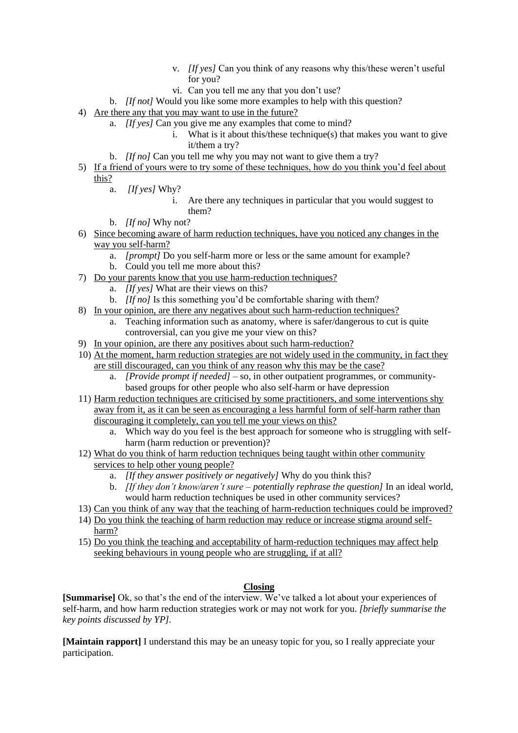- v. *[If yes]* Can you think of any reasons why this/these weren't useful for you?
- vi. Can you tell me any that you don't use?
- b. *[If not]* Would you like some more examples to help with this question?
- 4) Are there any that you may want to use in the future?
	- a. *[If yes]* Can you give me any examples that come to mind?
		- i. What is it about this/these technique(s) that makes you want to give it/them a try?
	- b. *[If no]* Can you tell me why you may not want to give them a try?
- 5) If a friend of yours were to try some of these techniques, how do you think you'd feel about this?
	- a. *[If yes]* Why?
		- i. Are there any techniques in particular that you would suggest to them?
	- b. *[If no]* Why not?
- 6) Since becoming aware of harm reduction techniques, have you noticed any changes in the way you self-harm?
	- a. *[prompt]* Do you self-harm more or less or the same amount for example?
	- b. Could you tell me more about this?
- 7) Do your parents know that you use harm-reduction techniques?
	- a. *[If yes]* What are their views on this?
	- b. *[If no]* Is this something you'd be comfortable sharing with them?
- 8) In your opinion, are there any negatives about such harm-reduction techniques?
	- a. Teaching information such as anatomy, where is safer/dangerous to cut is quite controversial, can you give me your view on this?
- 9) In your opinion, are there any positives about such harm-reduction?
- 10) At the moment, harm reduction strategies are not widely used in the community, in fact they are still discouraged, can you think of any reason why this may be the case?
	- a. *[Provide prompt if needed]* so, in other outpatient programmes, or communitybased groups for other people who also self-harm or have depression
- 11) Harm reduction techniques are criticised by some practitioners, and some interventions shy away from it, as it can be seen as encouraging a less harmful form of self-harm rather than discouraging it completely, can you tell me your views on this?
	- a. Which way do you feel is the best approach for someone who is struggling with selfharm (harm reduction or prevention)?
- 12) What do you think of harm reduction techniques being taught within other community services to help other young people?
	- a. *[If they answer positively or negatively]* Why do you think this?
	- b. *[If they don't know/aren't sure – potentially rephrase the question]* In an ideal world, would harm reduction techniques be used in other community services?
- 13) Can you think of any way that the teaching of harm-reduction techniques could be improved?
- 14) Do you think the teaching of harm reduction may reduce or increase stigma around selfharm?
- 15) Do you think the teaching and acceptability of harm-reduction techniques may affect help seeking behaviours in young people who are struggling, if at all?

## **Closing**

**[Summarise]** Ok, so that's the end of the interview. We've talked a lot about your experiences of self-harm, and how harm reduction strategies work or may not work for you. *[briefly summarise the key points discussed by YP].*

**[Maintain rapport]** I understand this may be an uneasy topic for you, so I really appreciate your participation.